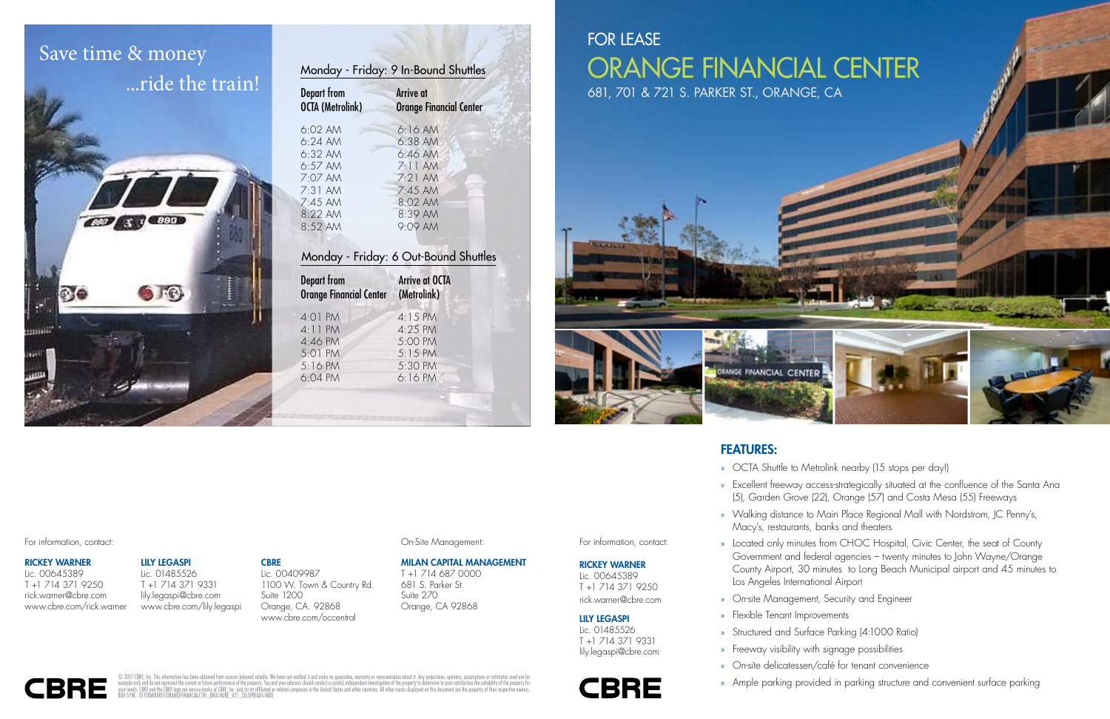## FEATURES:

» OCTA Shuttle to Metrolink nearby (15 stops per day!)

» Excellent freeway access-strategically situated at the confluence of the Santa Ana (5), Garden Grove (22), Orange (57) and Costa Mesa (55) Freeways

» Walking distance to Main Place Regional Mall with Nordstrom, JC Penny's,

» Located only minutes from CHOC Hospital, Civic Center, the seat of County Government and federal agencies – twenty minutes to John Wayne/Orange County Airport, 30 minutes to Long Beach Municipal airport and 45 minutes to

» On-site Management, Security and Engineer

» Structured and Surface Parking (4:1000 Ratio)

- 
- 
- Macy's, restaurants, banks and theaters
- Los Angeles International Airport
- 
- » Flexible Tenant Improvements
- 
- » Freeway visibility with signage possibilities **Route 453**
	-
	-

For information, contact: Contactive Construction, contact: Construction Construction, Construction, Construction, Construction, Construction, Construction, Construction, Construction, Construction, Construction, Construct

» On-site delicatessen/café for tenant convenience

» Ample parking provided in parking structure and convenient surface parking

For information, contact:

#### RICKEY WARNER

Lic. 00645389 T +1 714 371 9250 rick.warner@cbre.com

#### LILY LEGASPI

Lic. 01485526 T +1 714 371 9331 lily.legaspi@cbre.com

## **CBRE**



© 2017 CBRE, Inc. This information has been obtained from sources believed reliable. We have not verified it and make no guarantee, warranty or representation about it. Any projections, opinions, assumptions or estimates u



#### RICKEY WARNER

Lic. 00645389 T +1 714 371 9250 rick.warner@cbre.com www.cbre.com/rick.warner







| Monday - Friday: 9 In-Bound Shuttles          |                                                    |  |
|-----------------------------------------------|----------------------------------------------------|--|
| <b>Depart from</b><br><b>OCTA (Metrolink)</b> | <b>Arrive at</b><br><b>Orange Financial Center</b> |  |
| $6:02$ AM                                     | 6:16AM                                             |  |
| $6:24$ AM                                     | $6:38$ AM                                          |  |
| $6:32$ AM                                     | 6:46AM                                             |  |
| $6:57$ AM                                     | 7:11AM                                             |  |
| $7:07$ AM                                     | $7:21$ AM                                          |  |
| $7:31$ AM                                     | $7:45$ AM                                          |  |
| $7:45$ AM                                     | 8:02 AM                                            |  |
| $8.22$ AM                                     | $8:39$ AM                                          |  |
| 8:52 AM                                       | $9:09$ AM                                          |  |
|                                               |                                                    |  |

### Monday - Friday: 6 Out-Bound Shuttles

| <b>Depart from</b><br><b>Orange Financial Center</b> | <b>Arrive at OCTA</b><br>(Metrolink) |
|------------------------------------------------------|--------------------------------------|
| 4:01 PM                                              | 4:15 PM                              |
| 4:11 PM                                              | $4:25$ PM                            |
| 4:46 PM                                              | 5:00 PM                              |
| 5:01 PM                                              | $5:15$ PM                            |
| 5:16 PM                                              | 5:30 PM                              |
| 6:04 PM                                              | $6:16$ PM                            |
|                                                      |                                      |

# Save time & money ...ride the train!



MILAN CAPITAL MANAGEMENT T +1 714 687 0000 681 S. Parker St. Suite 270 Orange, CA 92868

Lic. 00409987 1100 W. Town & Country Rd. Suite 1200 Orange, CA. 92868 www.cbre.com/occentral

#### LILY LEGASPI

Lic. 01485526 T +1 714 371 9331 lily.legaspi@cbre.com www.cbre.com/lily.legaspi

#### **CBRE**